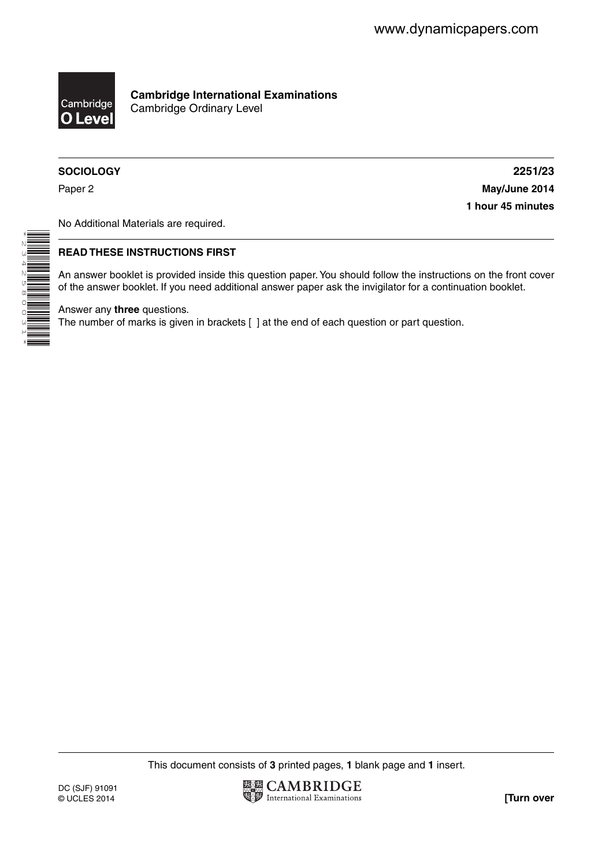

### **Cambridge International Examinations** Cambridge Ordinary Level

### **SOCIOLOGY 2251/23**

\*2342580031\*

Paper 2 **May/June 2014 1 hour 45 minutes**

No Additional Materials are required.

#### **READ THESE INSTRUCTIONS FIRST**

An answer booklet is provided inside this question paper. You should follow the instructions on the front cover of the answer booklet. If you need additional answer paper ask the invigilator for a continuation booklet.

Answer any **three** questions.

The number of marks is given in brackets [ ] at the end of each question or part question.

This document consists of **3** printed pages, **1** blank page and **1** insert.

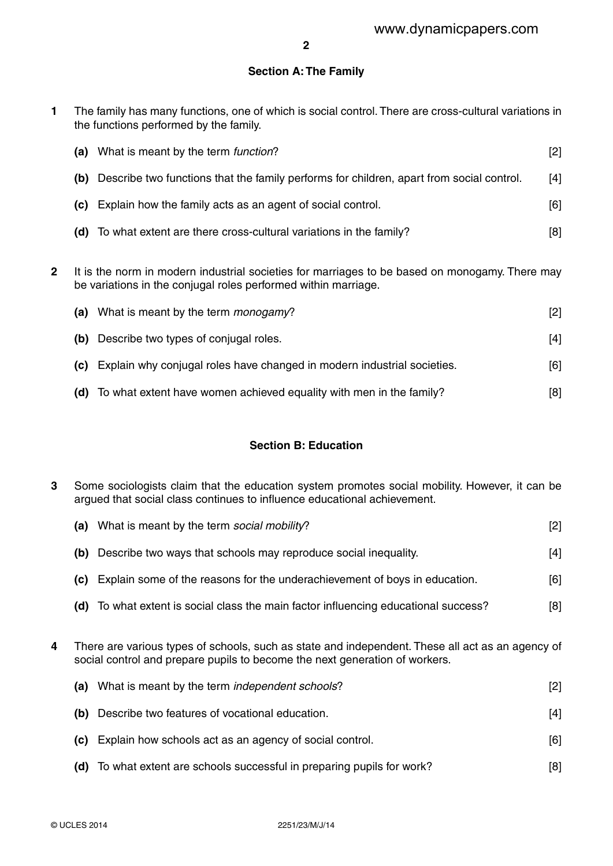### **Section A: The Family**

**1** The family has many functions, one of which is social control. There are cross-cultural variations in the functions performed by the family.

|     | (d) To what extent are there cross-cultural variations in the family?                    | [8]   |
|-----|------------------------------------------------------------------------------------------|-------|
| (C) | Explain how the family acts as an agent of social control.                               | [6]   |
| (b) | Describe two functions that the family performs for children, apart from social control. | [4]   |
| (a) | What is meant by the term <i>function</i> ?                                              | $[2]$ |

**2** It is the norm in modern industrial societies for marriages to be based on monogamy. There may be variations in the conjugal roles performed within marriage.

| (a)   | What is meant by the term <i>monogamy</i> ?                             | [2] |
|-------|-------------------------------------------------------------------------|-----|
| (b)   | Describe two types of conjugal roles.                                   | [4] |
| (C) — | Explain why conjugal roles have changed in modern industrial societies. | [6] |
|       | (d) To what extent have women achieved equality with men in the family? | [8] |

# **Section B: Education**

**3** Some sociologists claim that the education system promotes social mobility. However, it can be argued that social class continues to influence educational achievement.

|   | (a) | What is meant by the term social mobility?                                                                                                                                      | [2] |
|---|-----|---------------------------------------------------------------------------------------------------------------------------------------------------------------------------------|-----|
|   | (b) | Describe two ways that schools may reproduce social inequality.                                                                                                                 | [4] |
|   | (C) | Explain some of the reasons for the underachievement of boys in education.                                                                                                      | [6] |
|   | (d) | To what extent is social class the main factor influencing educational success?                                                                                                 | [8] |
| 4 |     | There are various types of schools, such as state and independent. These all act as an agency of<br>social control and prepare pupils to become the next generation of workers. |     |

| (a) | What is meant by the term independent schools?                          | [2] |
|-----|-------------------------------------------------------------------------|-----|
| (b) | Describe two features of vocational education.                          | [4] |
|     | (c) Explain how schools act as an agency of social control.             | [6] |
|     | (d) To what extent are schools successful in preparing pupils for work? |     |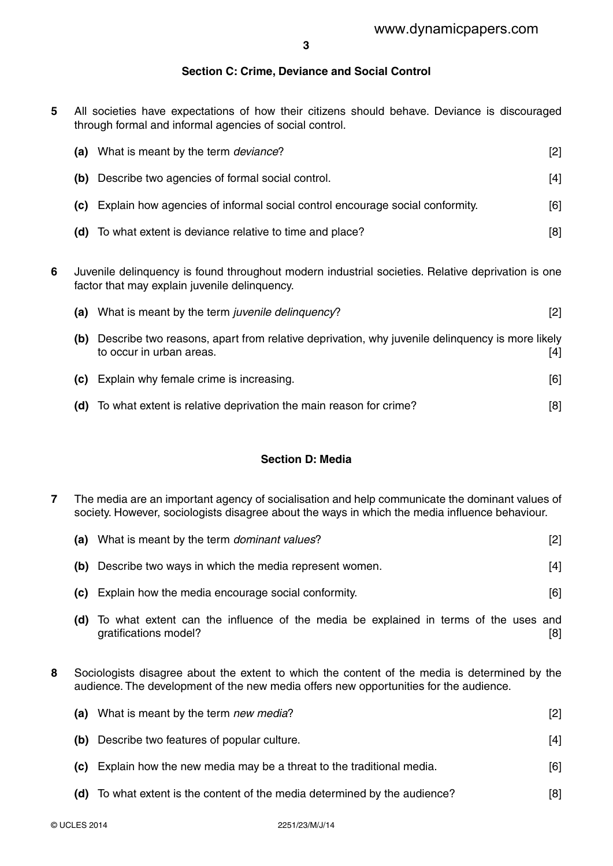#### **Section C: Crime, Deviance and Social Control**

**5** All societies have expectations of how their citizens should behave. Deviance is discouraged through formal and informal agencies of social control.

|   |                                                                                                                                                    | (a) What is meant by the term <i>deviance</i> ?                                                                            | $[2]$ |
|---|----------------------------------------------------------------------------------------------------------------------------------------------------|----------------------------------------------------------------------------------------------------------------------------|-------|
|   | (b)                                                                                                                                                | Describe two agencies of formal social control.                                                                            | [4]   |
|   | (c)                                                                                                                                                | Explain how agencies of informal social control encourage social conformity.                                               | [6]   |
|   |                                                                                                                                                    | <b>(d)</b> To what extent is deviance relative to time and place?                                                          | [8]   |
| 6 | Juvenile delinguency is found throughout modern industrial societies. Relative deprivation is one<br>factor that may explain juvenile delinguency. |                                                                                                                            |       |
|   | (a)                                                                                                                                                | What is meant by the term <i>juvenile delinguency</i> ?                                                                    | [2]   |
|   | (b)                                                                                                                                                | Describe two reasons, apart from relative deprivation, why juvenile delinguency is more likely<br>to occur in urban areas. | [4]   |

- **(c)** Explain why female crime is increasing. **Explain** why female crime is increasing.
- **(d)** To what extent is relative deprivation the main reason for crime? [8]

### **Section D: Media**

**7** The media are an important agency of socialisation and help communicate the dominant values of society. However, sociologists disagree about the ways in which the media influence behaviour.

|     | (a) What is meant by the term <i>dominant values</i> ?                                                       | [2] |
|-----|--------------------------------------------------------------------------------------------------------------|-----|
| (b) | Describe two ways in which the media represent women.                                                        | [4] |
|     | (c) Explain how the media encourage social conformity.                                                       | [6] |
| (d) | To what extent can the influence of the media be explained in terms of the uses and<br>gratifications model? | [8] |

**8** Sociologists disagree about the extent to which the content of the media is determined by the audience. The development of the new media offers new opportunities for the audience.

| (a) l | What is meant by the term new media?                                    | $\lceil 2 \rceil$ |
|-------|-------------------------------------------------------------------------|-------------------|
| (b)   | Describe two features of popular culture.                               | [4]               |
|       | (c) Explain how the new media may be a threat to the traditional media. | [6]               |
| (d)   | To what extent is the content of the media determined by the audience?  | [8]               |